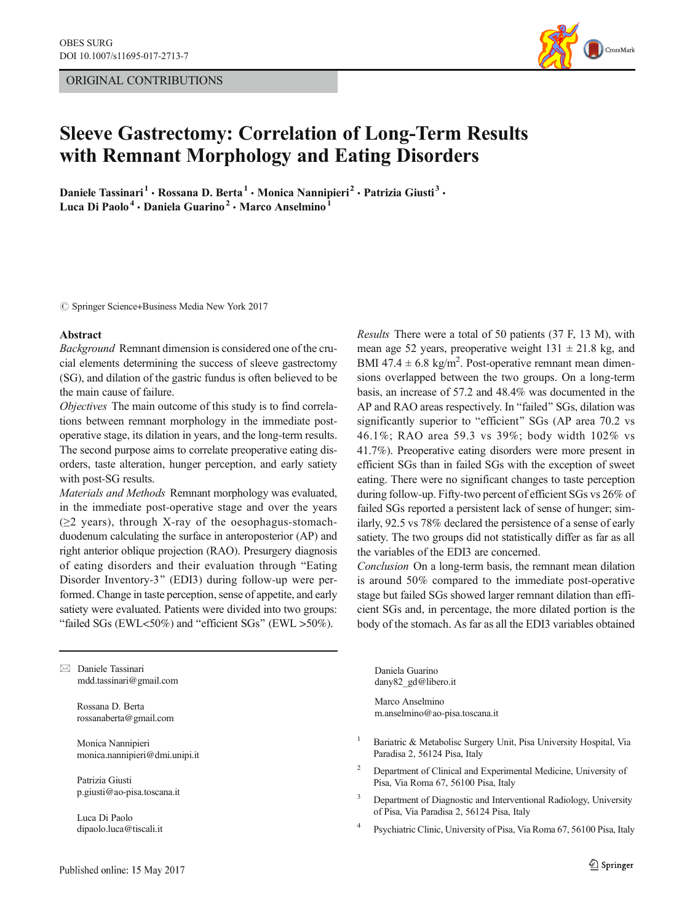ORIGINAL CONTRIBUTIONS



# Sleeve Gastrectomy: Correlation of Long-Term Results with Remnant Morphology and Eating Disorders

Daniele Tassinari<sup>1</sup> · Rossana D. Berta<sup>1</sup> · Monica Nannipieri<sup>2</sup> · Patrizia Giusti<sup>3</sup> · Luca Di Paolo<sup>4</sup> · Daniela Guarino<sup>2</sup> · Marco Anselmino<sup>1</sup>

 $\circled{c}$  Springer Science+Business Media New York 2017

#### Abstract

Background Remnant dimension is considered one of the crucial elements determining the success of sleeve gastrectomy (SG), and dilation of the gastric fundus is often believed to be the main cause of failure.

Objectives The main outcome of this study is to find correlations between remnant morphology in the immediate postoperative stage, its dilation in years, and the long-term results. The second purpose aims to correlate preoperative eating disorders, taste alteration, hunger perception, and early satiety with post-SG results.

Materials and Methods Remnant morphology was evaluated, in the immediate post-operative stage and over the years  $(\geq 2$  years), through X-ray of the oesophagus-stomachduodenum calculating the surface in anteroposterior (AP) and right anterior oblique projection (RAO). Presurgery diagnosis of eating disorders and their evaluation through "Eating Disorder Inventory-3" (EDI3) during follow-up were performed. Change in taste perception, sense of appetite, and early satiety were evaluated. Patients were divided into two groups: "failed SGs (EWL<50%) and "efficient SGs" (EWL >50%).

 $\boxtimes$  Daniele Tassinari mdd.tassinari@gmail.com

> Rossana D. Berta rossanaberta@gmail.com

Monica Nannipieri monica.nannipieri@dmi.unipi.it

Patrizia Giusti p.giusti@ao-pisa.toscana.it

Luca Di Paolo dipaolo.luca@tiscali.it Results There were a total of 50 patients (37 F, 13 M), with mean age 52 years, preoperative weight  $131 \pm 21.8$  kg, and BMI 47.4  $\pm$  6.8 kg/m<sup>2</sup>. Post-operative remnant mean dimensions overlapped between the two groups. On a long-term basis, an increase of 57.2 and 48.4% was documented in the AP and RAO areas respectively. In "failed" SGs, dilation was significantly superior to "efficient" SGs (AP area 70.2 vs 46.1%; RAO area 59.3 vs 39%; body width 102% vs 41.7%). Preoperative eating disorders were more present in efficient SGs than in failed SGs with the exception of sweet eating. There were no significant changes to taste perception during follow-up. Fifty-two percent of efficient SGs vs 26% of failed SGs reported a persistent lack of sense of hunger; similarly, 92.5 vs 78% declared the persistence of a sense of early satiety. The two groups did not statistically differ as far as all the variables of the EDI3 are concerned.

Conclusion On a long-term basis, the remnant mean dilation is around 50% compared to the immediate post-operative stage but failed SGs showed larger remnant dilation than efficient SGs and, in percentage, the more dilated portion is the body of the stomach. As far as all the EDI3 variables obtained

Daniela Guarino dany82\_gd@libero.it

Marco Anselmino m.anselmino@ao-pisa.toscana.it

- <sup>1</sup> Bariatric & Metabolisc Surgery Unit, Pisa University Hospital, Via Paradisa 2, 56124 Pisa, Italy
- <sup>2</sup> Department of Clinical and Experimental Medicine, University of Pisa, Via Roma 67, 56100 Pisa, Italy
- <sup>3</sup> Department of Diagnostic and Interventional Radiology, University of Pisa, Via Paradisa 2, 56124 Pisa, Italy
- <sup>4</sup> Psychiatric Clinic, University of Pisa, Via Roma 67, 56100 Pisa, Italy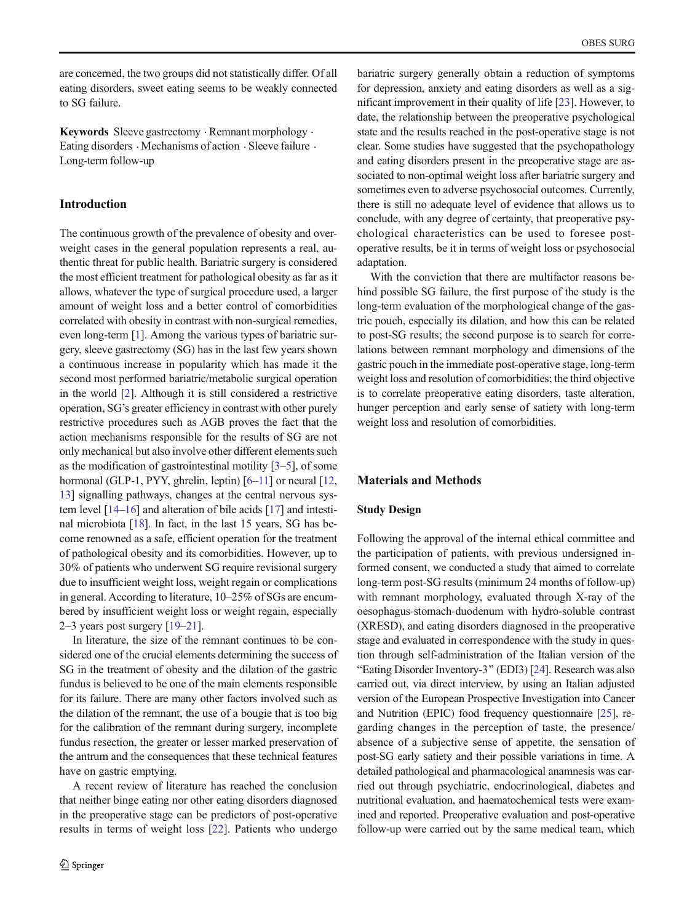are concerned, the two groups did not statistically differ. Of all eating disorders, sweet eating seems to be weakly connected to SG failure.

Keywords Sleeve gastrectomy  $\cdot$  Remnant morphology  $\cdot$ Eating disorders . Mechanisms of action . Sleeve failure . Long-term follow-up

# Introduction

The continuous growth of the prevalence of obesity and overweight cases in the general population represents a real, authentic threat for public health. Bariatric surgery is considered the most efficient treatment for pathological obesity as far as it allows, whatever the type of surgical procedure used, a larger amount of weight loss and a better control of comorbidities correlated with obesity in contrast with non-surgical remedies, even long-term [[1\]](#page-8-0). Among the various types of bariatric surgery, sleeve gastrectomy (SG) has in the last few years shown a continuous increase in popularity which has made it the second most performed bariatric/metabolic surgical operation in the world [[2\]](#page-8-0). Although it is still considered a restrictive operation, SG's greater efficiency in contrast with other purely restrictive procedures such as AGB proves the fact that the action mechanisms responsible for the results of SG are not only mechanical but also involve other different elements such as the modification of gastrointestinal motility [\[3](#page-8-0)–[5\]](#page-8-0), of some hormonal (GLP-1, PYY, ghrelin, leptin) [[6](#page-8-0)–[11\]](#page-9-0) or neural [[12,](#page-9-0) [13\]](#page-9-0) signalling pathways, changes at the central nervous system level [\[14](#page-9-0)–[16\]](#page-9-0) and alteration of bile acids [[17](#page-9-0)] and intestinal microbiota [\[18\]](#page-9-0). In fact, in the last 15 years, SG has become renowned as a safe, efficient operation for the treatment of pathological obesity and its comorbidities. However, up to 30% of patients who underwent SG require revisional surgery due to insufficient weight loss, weight regain or complications in general. According to literature, 10–25% of SGs are encumbered by insufficient weight loss or weight regain, especially 2–3 years post surgery [[19](#page-9-0)–[21](#page-9-0)].

In literature, the size of the remnant continues to be considered one of the crucial elements determining the success of SG in the treatment of obesity and the dilation of the gastric fundus is believed to be one of the main elements responsible for its failure. There are many other factors involved such as the dilation of the remnant, the use of a bougie that is too big for the calibration of the remnant during surgery, incomplete fundus resection, the greater or lesser marked preservation of the antrum and the consequences that these technical features have on gastric emptying.

A recent review of literature has reached the conclusion that neither binge eating nor other eating disorders diagnosed in the preoperative stage can be predictors of post-operative results in terms of weight loss [[22\]](#page-9-0). Patients who undergo bariatric surgery generally obtain a reduction of symptoms for depression, anxiety and eating disorders as well as a significant improvement in their quality of life [[23\]](#page-9-0). However, to date, the relationship between the preoperative psychological state and the results reached in the post-operative stage is not clear. Some studies have suggested that the psychopathology and eating disorders present in the preoperative stage are associated to non-optimal weight loss after bariatric surgery and sometimes even to adverse psychosocial outcomes. Currently, there is still no adequate level of evidence that allows us to conclude, with any degree of certainty, that preoperative psychological characteristics can be used to foresee postoperative results, be it in terms of weight loss or psychosocial adaptation.

With the conviction that there are multifactor reasons behind possible SG failure, the first purpose of the study is the long-term evaluation of the morphological change of the gastric pouch, especially its dilation, and how this can be related to post-SG results; the second purpose is to search for correlations between remnant morphology and dimensions of the gastric pouch in the immediate post-operative stage, long-term weight loss and resolution of comorbidities; the third objective is to correlate preoperative eating disorders, taste alteration, hunger perception and early sense of satiety with long-term weight loss and resolution of comorbidities.

## Materials and Methods

#### Study Design

Following the approval of the internal ethical committee and the participation of patients, with previous undersigned informed consent, we conducted a study that aimed to correlate long-term post-SG results (minimum 24 months of follow-up) with remnant morphology, evaluated through X-ray of the oesophagus-stomach-duodenum with hydro-soluble contrast (XRESD), and eating disorders diagnosed in the preoperative stage and evaluated in correspondence with the study in question through self-administration of the Italian version of the "Eating Disorder Inventory-3" (EDI3) [[24](#page-9-0)]. Research was also carried out, via direct interview, by using an Italian adjusted version of the European Prospective Investigation into Cancer and Nutrition (EPIC) food frequency questionnaire [[25\]](#page-9-0), regarding changes in the perception of taste, the presence/ absence of a subjective sense of appetite, the sensation of post-SG early satiety and their possible variations in time. A detailed pathological and pharmacological anamnesis was carried out through psychiatric, endocrinological, diabetes and nutritional evaluation, and haematochemical tests were examined and reported. Preoperative evaluation and post-operative follow-up were carried out by the same medical team, which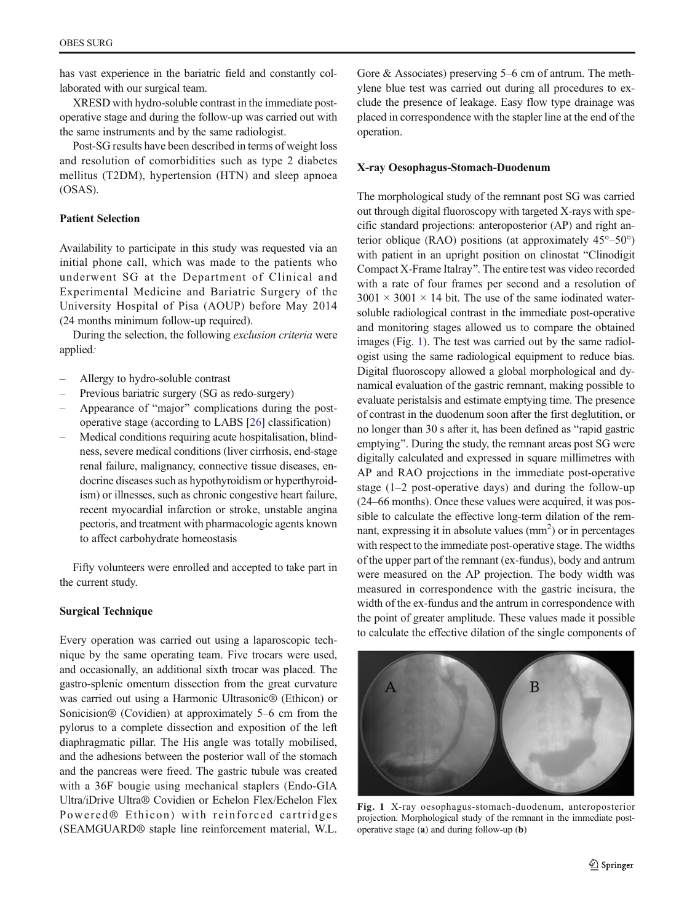has vast experience in the bariatric field and constantly collaborated with our surgical team.

XRESD with hydro-soluble contrast in the immediate postoperative stage and during the follow-up was carried out with the same instruments and by the same radiologist.

Post-SG results have been described in terms of weight loss and resolution of comorbidities such as type 2 diabetes mellitus (T2DM), hypertension (HTN) and sleep apnoea (OSAS).

## Patient Selection

Availability to participate in this study was requested via an initial phone call, which was made to the patients who underwent SG at the Department of Clinical and Experimental Medicine and Bariatric Surgery of the University Hospital of Pisa (AOUP) before May 2014 (24 months minimum follow-up required).

During the selection, the following exclusion criteria were applied:

- Allergy to hydro-soluble contrast
- Previous bariatric surgery (SG as redo-surgery)
- Appearance of "major" complications during the postoperative stage (according to LABS [\[26](#page-9-0)] classification)
- Medical conditions requiring acute hospitalisation, blindness, severe medical conditions (liver cirrhosis, end-stage renal failure, malignancy, connective tissue diseases, endocrine diseases such as hypothyroidism or hyperthyroidism) or illnesses, such as chronic congestive heart failure, recent myocardial infarction or stroke, unstable angina pectoris, and treatment with pharmacologic agents known to affect carbohydrate homeostasis

Fifty volunteers were enrolled and accepted to take part in the current study.

## Surgical Technique

Every operation was carried out using a laparoscopic technique by the same operating team. Five trocars were used, and occasionally, an additional sixth trocar was placed. The gastro-splenic omentum dissection from the great curvature was carried out using a Harmonic Ultrasonic® (Ethicon) or Sonicision® (Covidien) at approximately 5–6 cm from the pylorus to a complete dissection and exposition of the left diaphragmatic pillar. The His angle was totally mobilised, and the adhesions between the posterior wall of the stomach and the pancreas were freed. The gastric tubule was created with a 36F bougie using mechanical staplers (Endo-GIA Ultra/iDrive Ultra® Covidien or Echelon Flex/Echelon Flex Powered® Ethicon) with reinforced cartridges (SEAMGUARD® staple line reinforcement material, W.L. Gore & Associates) preserving 5–6 cm of antrum. The methylene blue test was carried out during all procedures to exclude the presence of leakage. Easy flow type drainage was placed in correspondence with the stapler line at the end of the operation.

#### X-ray Oesophagus-Stomach-Duodenum

The morphological study of the remnant post SG was carried out through digital fluoroscopy with targeted X-rays with specific standard projections: anteroposterior (AP) and right anterior oblique (RAO) positions (at approximately 45°–50°) with patient in an upright position on clinostat "Clinodigit" Compact X-Frame Italray^. The entire test was video recorded with a rate of four frames per second and a resolution of  $3001 \times 3001 \times 14$  bit. The use of the same iodinated watersoluble radiological contrast in the immediate post-operative and monitoring stages allowed us to compare the obtained images (Fig. 1). The test was carried out by the same radiologist using the same radiological equipment to reduce bias. Digital fluoroscopy allowed a global morphological and dynamical evaluation of the gastric remnant, making possible to evaluate peristalsis and estimate emptying time. The presence of contrast in the duodenum soon after the first deglutition, or no longer than 30 s after it, has been defined as "rapid gastric emptying". During the study, the remnant areas post SG were digitally calculated and expressed in square millimetres with AP and RAO projections in the immediate post-operative stage (1–2 post-operative days) and during the follow-up (24–66 months). Once these values were acquired, it was possible to calculate the effective long-term dilation of the remnant, expressing it in absolute values  $(mm<sup>2</sup>)$  or in percentages with respect to the immediate post-operative stage. The widths of the upper part of the remnant (ex-fundus), body and antrum were measured on the AP projection. The body width was measured in correspondence with the gastric incisura, the width of the ex-fundus and the antrum in correspondence with the point of greater amplitude. These values made it possible to calculate the effective dilation of the single components of



Fig. 1 X-ray oesophagus-stomach-duodenum, anteroposterior projection. Morphological study of the remnant in the immediate postoperative stage (a) and during follow-up (b)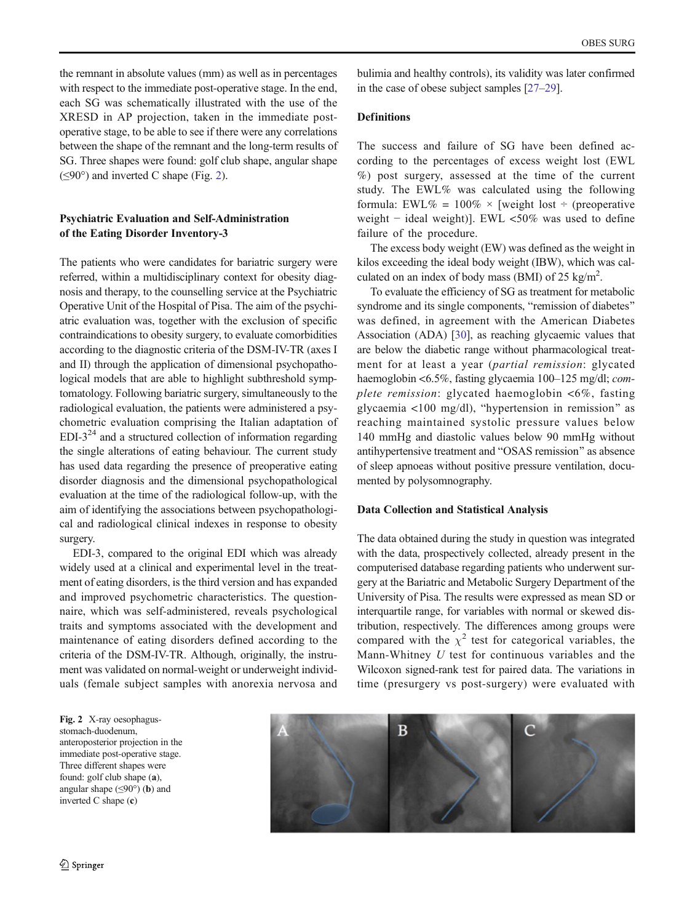<span id="page-3-0"></span>the remnant in absolute values (mm) as well as in percentages with respect to the immediate post-operative stage. In the end, each SG was schematically illustrated with the use of the XRESD in AP projection, taken in the immediate postoperative stage, to be able to see if there were any correlations between the shape of the remnant and the long-term results of SG. Three shapes were found: golf club shape, angular shape  $(\leq 90^\circ)$  and inverted C shape (Fig. 2).

# Psychiatric Evaluation and Self-Administration of the Eating Disorder Inventory-3

The patients who were candidates for bariatric surgery were referred, within a multidisciplinary context for obesity diagnosis and therapy, to the counselling service at the Psychiatric Operative Unit of the Hospital of Pisa. The aim of the psychiatric evaluation was, together with the exclusion of specific contraindications to obesity surgery, to evaluate comorbidities according to the diagnostic criteria of the DSM-IV-TR (axes I and II) through the application of dimensional psychopathological models that are able to highlight subthreshold symptomatology. Following bariatric surgery, simultaneously to the radiological evaluation, the patients were administered a psychometric evaluation comprising the Italian adaptation of  $EDI-3<sup>24</sup>$  and a structured collection of information regarding the single alterations of eating behaviour. The current study has used data regarding the presence of preoperative eating disorder diagnosis and the dimensional psychopathological evaluation at the time of the radiological follow-up, with the aim of identifying the associations between psychopathological and radiological clinical indexes in response to obesity surgery.

EDI-3, compared to the original EDI which was already widely used at a clinical and experimental level in the treatment of eating disorders, is the third version and has expanded and improved psychometric characteristics. The questionnaire, which was self-administered, reveals psychological traits and symptoms associated with the development and maintenance of eating disorders defined according to the criteria of the DSM-IV-TR. Although, originally, the instrument was validated on normal-weight or underweight individuals (female subject samples with anorexia nervosa and

bulimia and healthy controls), its validity was later confirmed in the case of obese subject samples [\[27](#page-9-0)–[29\]](#page-9-0).

## **Definitions**

The success and failure of SG have been defined according to the percentages of excess weight lost (EWL %) post surgery, assessed at the time of the current study. The EWL% was calculated using the following formula: EWL% =  $100\% \times$  [weight lost ÷ (preoperative weight − ideal weight)]. EWL <50% was used to define failure of the procedure.

The excess body weight (EW) was defined as the weight in kilos exceeding the ideal body weight (IBW), which was calculated on an index of body mass (BMI) of 25 kg/m<sup>2</sup>.

To evaluate the efficiency of SG as treatment for metabolic syndrome and its single components, "remission of diabetes" was defined, in agreement with the American Diabetes Association (ADA) [\[30\]](#page-9-0), as reaching glycaemic values that are below the diabetic range without pharmacological treatment for at least a year (partial remission: glycated haemoglobin <6.5%, fasting glycaemia 100–125 mg/dl; complete remission: glycated haemoglobin <6%, fasting glycaemia  $\langle 100 \text{ mg/dl} \rangle$ , "hypertension in remission" as reaching maintained systolic pressure values below 140 mmHg and diastolic values below 90 mmHg without antihypertensive treatment and "OSAS remission" as absence of sleep apnoeas without positive pressure ventilation, documented by polysomnography.

#### Data Collection and Statistical Analysis

The data obtained during the study in question was integrated with the data, prospectively collected, already present in the computerised database regarding patients who underwent surgery at the Bariatric and Metabolic Surgery Department of the University of Pisa. The results were expressed as mean SD or interquartile range, for variables with normal or skewed distribution, respectively. The differences among groups were compared with the  $\chi^2$  test for categorical variables, the Mann-Whitney U test for continuous variables and the Wilcoxon signed-rank test for paired data. The variations in time (presurgery vs post-surgery) were evaluated with

Fig. 2 X-ray oesophagusstomach-duodenum, anteroposterior projection in the immediate post-operative stage. Three different shapes were found: golf club shape (a), angular shape  $(\leq 90^\circ)$  (b) and inverted C shape (c)

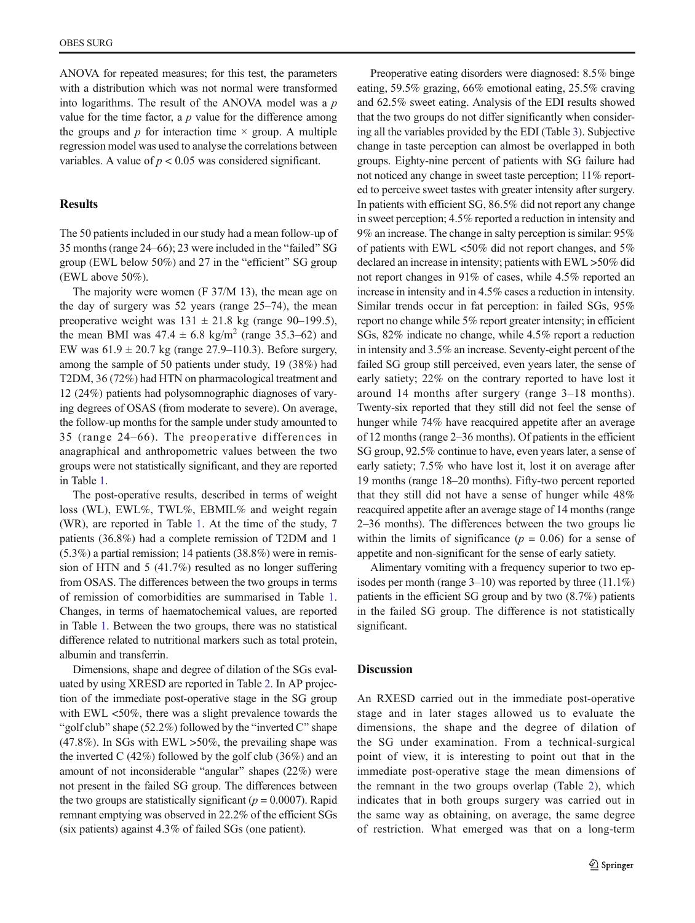ANOVA for repeated measures; for this test, the parameters with a distribution which was not normal were transformed into logarithms. The result of the ANOVA model was a  $p$ value for the time factor, a  $p$  value for the difference among the groups and p for interaction time  $\times$  group. A multiple regression model was used to analyse the correlations between variables. A value of  $p < 0.05$  was considered significant.

# Results

The 50 patients included in our study had a mean follow-up of 35 months (range 24–66); 23 were included in the "failed" SG group (EWL below  $50\%$ ) and  $27$  in the "efficient" SG group (EWL above 50%).

The majority were women (F 37/M 13), the mean age on the day of surgery was 52 years (range 25–74), the mean preoperative weight was  $131 \pm 21.8$  kg (range 90–199.5), the mean BMI was  $47.4 \pm 6.8$  kg/m<sup>2</sup> (range 35.3–62) and EW was  $61.9 \pm 20.7$  kg (range 27.9–110.3). Before surgery, among the sample of 50 patients under study, 19 (38%) had T2DM, 36 (72%) had HTN on pharmacological treatment and 12 (24%) patients had polysomnographic diagnoses of varying degrees of OSAS (from moderate to severe). On average, the follow-up months for the sample under study amounted to 35 (range 24–66). The preoperative differences in anagraphical and anthropometric values between the two groups were not statistically significant, and they are reported in Table [1](#page-5-0).

The post-operative results, described in terms of weight loss (WL), EWL%, TWL%, EBMIL% and weight regain (WR), are reported in Table [1](#page-5-0). At the time of the study, 7 patients (36.8%) had a complete remission of T2DM and 1 (5.3%) a partial remission; 14 patients (38.8%) were in remission of HTN and 5 (41.7%) resulted as no longer suffering from OSAS. The differences between the two groups in terms of remission of comorbidities are summarised in Table [1.](#page-5-0) Changes, in terms of haematochemical values, are reported in Table [1](#page-5-0). Between the two groups, there was no statistical difference related to nutritional markers such as total protein, albumin and transferrin.

Dimensions, shape and degree of dilation of the SGs evaluated by using XRESD are reported in Table [2.](#page-6-0) In AP projection of the immediate post-operative stage in the SG group with EWL <50%, there was a slight prevalence towards the "golf club" shape (52.2%) followed by the "inverted C" shape (47.8%). In SGs with EWL >50%, the prevailing shape was the inverted C  $(42\%)$  followed by the golf club  $(36\%)$  and an amount of not inconsiderable "angular" shapes  $(22%)$  were not present in the failed SG group. The differences between the two groups are statistically significant ( $p = 0.0007$ ). Rapid remnant emptying was observed in 22.2% of the efficient SGs (six patients) against 4.3% of failed SGs (one patient).

Preoperative eating disorders were diagnosed: 8.5% binge eating, 59.5% grazing, 66% emotional eating, 25.5% craving and 62.5% sweet eating. Analysis of the EDI results showed that the two groups do not differ significantly when considering all the variables provided by the EDI (Table [3\)](#page-6-0). Subjective change in taste perception can almost be overlapped in both groups. Eighty-nine percent of patients with SG failure had not noticed any change in sweet taste perception; 11% reported to perceive sweet tastes with greater intensity after surgery. In patients with efficient SG, 86.5% did not report any change in sweet perception; 4.5% reported a reduction in intensity and 9% an increase. The change in salty perception is similar: 95% of patients with EWL <50% did not report changes, and 5% declared an increase in intensity; patients with EWL >50% did not report changes in 91% of cases, while 4.5% reported an increase in intensity and in 4.5% cases a reduction in intensity. Similar trends occur in fat perception: in failed SGs, 95% report no change while 5% report greater intensity; in efficient SGs, 82% indicate no change, while 4.5% report a reduction in intensity and 3.5% an increase. Seventy-eight percent of the failed SG group still perceived, even years later, the sense of early satiety; 22% on the contrary reported to have lost it around 14 months after surgery (range 3–18 months). Twenty-six reported that they still did not feel the sense of hunger while 74% have reacquired appetite after an average of 12 months (range 2–36 months). Of patients in the efficient SG group, 92.5% continue to have, even years later, a sense of early satiety; 7.5% who have lost it, lost it on average after 19 months (range 18–20 months). Fifty-two percent reported that they still did not have a sense of hunger while 48% reacquired appetite after an average stage of 14 months (range 2–36 months). The differences between the two groups lie within the limits of significance  $(p = 0.06)$  for a sense of appetite and non-significant for the sense of early satiety.

Alimentary vomiting with a frequency superior to two episodes per month (range 3–10) was reported by three (11.1%) patients in the efficient SG group and by two (8.7%) patients in the failed SG group. The difference is not statistically significant.

#### **Discussion**

An RXESD carried out in the immediate post-operative stage and in later stages allowed us to evaluate the dimensions, the shape and the degree of dilation of the SG under examination. From a technical-surgical point of view, it is interesting to point out that in the immediate post-operative stage the mean dimensions of the remnant in the two groups overlap (Table [2](#page-6-0)), which indicates that in both groups surgery was carried out in the same way as obtaining, on average, the same degree of restriction. What emerged was that on a long-term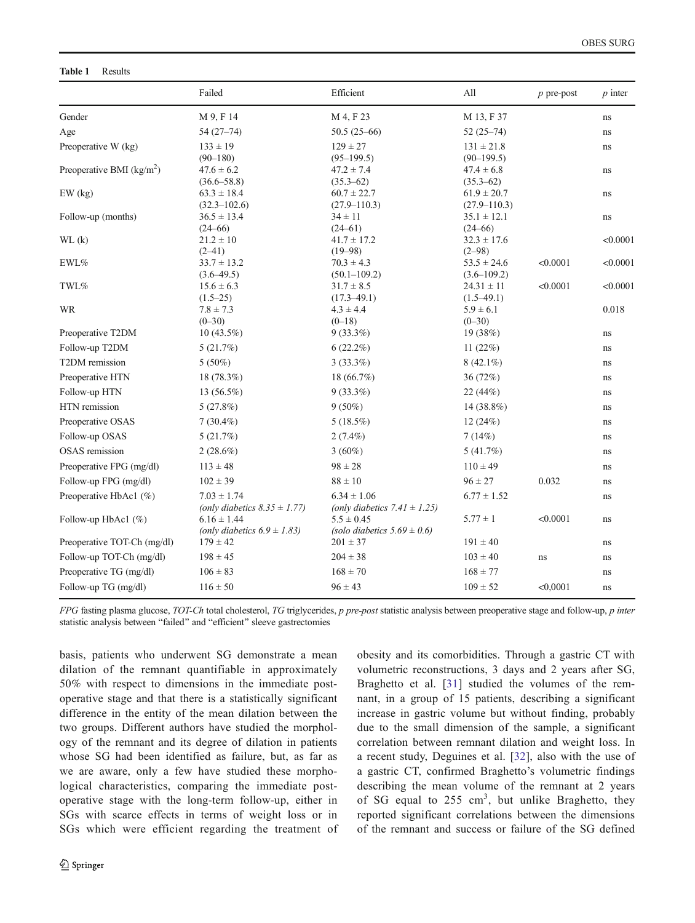#### <span id="page-5-0"></span>Table 1 Results

|                             | Failed                                               | Efficient                                            | All                                             | $p$ pre-post | $p$ inter |
|-----------------------------|------------------------------------------------------|------------------------------------------------------|-------------------------------------------------|--------------|-----------|
| Gender                      | M 9, F 14                                            | M 4, F 23                                            | M 13, F 37                                      |              | ns        |
| Age                         | $54(27-74)$                                          | $50.5(25-66)$                                        | $52(25-74)$                                     |              | ns        |
| Preoperative W (kg)         | $133 \pm 19$                                         | $129 \pm 27$                                         | $131 \pm 21.8$                                  |              | ns        |
| Preoperative BMI $(kg/m2)$  | $(90 - 180)$<br>$47.6 \pm 6.2$<br>$(36.6 - 58.8)$    | $(95-199.5)$<br>$47.2 \pm 7.4$<br>$(35.3 - 62)$      | $(90-199.5)$<br>$47.4 \pm 6.8$<br>$(35.3 - 62)$ |              | ns        |
| $EW$ (kg)                   | $63.3 \pm 18.4$<br>$(32.3 - 102.6)$                  | $60.7 \pm 22.7$<br>$(27.9 - 110.3)$                  | $61.9 \pm 20.7$<br>$(27.9 - 110.3)$             |              | ns        |
| Follow-up (months)          | $36.5 \pm 13.4$<br>$(24 - 66)$                       | $34 \pm 11$<br>$(24-61)$                             | $35.1 \pm 12.1$<br>$(24 - 66)$                  |              | ns        |
| WL(k)                       | $21.2 \pm 10$<br>$(2-41)$                            | $41.7 \pm 17.2$<br>$(19 - 98)$                       | $32.3 \pm 17.6$<br>$(2 - 98)$                   |              | < 0.0001  |
| $EWL\%$                     | $33.7 \pm 13.2$<br>$(3.6 - 49.5)$                    | $70.3 \pm 4.3$<br>$(50.1 - 109.2)$                   | $53.5 \pm 24.6$<br>$(3.6 - 109.2)$              | < 0.0001     | < 0.0001  |
| TWL%                        | $15.6 \pm 6.3$<br>$(1.5-25)$                         | $31.7 \pm 8.5$<br>$(17.3 - 49.1)$                    | $24.31 \pm 11$<br>$(1.5 - 49.1)$                | < 0.0001     | < 0.0001  |
| <b>WR</b>                   | $7.8 \pm 7.3$<br>$(0 - 30)$                          | $4.3 \pm 4.4$<br>$(0-18)$                            | $5.9 \pm 6.1$<br>$(0 - 30)$                     |              | 0.018     |
| Preoperative T2DM           | $10(43.5\%)$                                         | $9(33.3\%)$                                          | 19 (38%)                                        |              | ns        |
| Follow-up T2DM              | 5(21.7%)                                             | $6(22.2\%)$                                          | 11 $(22%)$                                      |              | ns        |
| T2DM remission              | $5(50\%)$                                            | $3(33.3\%)$                                          | $8(42.1\%)$                                     |              | ns        |
| Preoperative HTN            | 18 (78.3%)                                           | 18 (66.7%)                                           | 36(72%)                                         |              | ns        |
| Follow-up HTN               | $13(56.5\%)$                                         | $9(33.3\%)$                                          | 22(44%)                                         |              | ns        |
| HTN remission               | 5(27.8%)                                             | $9(50\%)$                                            | 14 (38.8%)                                      |              | ns        |
| Preoperative OSAS           | $7(30.4\%)$                                          | $5(18.5\%)$                                          | 12(24%)                                         |              | ns        |
| Follow-up OSAS              | 5(21.7%)                                             | $2(7.4\%)$                                           | 7(14%)                                          |              | ns        |
| <b>OSAS</b> remission       | $2(28.6\%)$                                          | $3(60\%)$                                            | 5(41.7%)                                        |              | ns        |
| Preoperative FPG (mg/dl)    | $113 \pm 48$                                         | $98 \pm 28$                                          | $110 \pm 49$                                    |              | ns        |
| Follow-up FPG (mg/dl)       | $102 \pm 39$                                         | $88 \pm 10$                                          | $96 \pm 27$                                     | 0.032        | ns        |
| Preoperative HbAc1 (%)      | $7.03 \pm 1.74$<br>(only diabetics $8.35 \pm 1.77$ ) | $6.34 \pm 1.06$<br>(only diabetics $7.41 \pm 1.25$ ) | $6.77 \pm 1.52$                                 |              | ns        |
| Follow-up HbAc1 $(\%)$      | $6.16 \pm 1.44$<br>(only diabetics $6.9 \pm 1.83$ )  | $5.5 \pm 0.45$<br>(solo diabetics $5.69 \pm 0.6$ )   | $5.77 \pm 1$                                    | < 0.0001     | ns        |
| Preoperative TOT-Ch (mg/dl) | $179 \pm 42$                                         | $201 \pm 37$                                         | $191 \pm 40$                                    |              | ns        |
| Follow-up TOT-Ch (mg/dl)    | $198 \pm 45$                                         | $204 \pm 38$                                         | $103 \pm 40$                                    | ns           | ns        |
| Preoperative TG (mg/dl)     | $106 \pm 83$                                         | $168 \pm 70$                                         | $168 \pm 77$                                    |              | ns        |
| Follow-up TG (mg/dl)        | $116 \pm 50$                                         | $96 \pm 43$                                          | $109 \pm 52$                                    | < 0.0001     | ns        |

FPG fasting plasma glucose, TOT-Ch total cholesterol, TG triglycerides, p pre-post statistic analysis between preoperative stage and follow-up, p inter statistic analysis between "failed" and "efficient" sleeve gastrectomies

basis, patients who underwent SG demonstrate a mean dilation of the remnant quantifiable in approximately 50% with respect to dimensions in the immediate postoperative stage and that there is a statistically significant difference in the entity of the mean dilation between the two groups. Different authors have studied the morphology of the remnant and its degree of dilation in patients whose SG had been identified as failure, but, as far as we are aware, only a few have studied these morphological characteristics, comparing the immediate postoperative stage with the long-term follow-up, either in SGs with scarce effects in terms of weight loss or in SGs which were efficient regarding the treatment of obesity and its comorbidities. Through a gastric CT with volumetric reconstructions, 3 days and 2 years after SG, Braghetto et al. [[31\]](#page-9-0) studied the volumes of the remnant, in a group of 15 patients, describing a significant increase in gastric volume but without finding, probably due to the small dimension of the sample, a significant correlation between remnant dilation and weight loss. In a recent study, Deguines et al. [[32\]](#page-9-0), also with the use of a gastric CT, confirmed Braghetto's volumetric findings describing the mean volume of the remnant at 2 years of SG equal to  $255 \text{ cm}^3$ , but unlike Braghetto, they reported significant correlations between the dimensions of the remnant and success or failure of the SG defined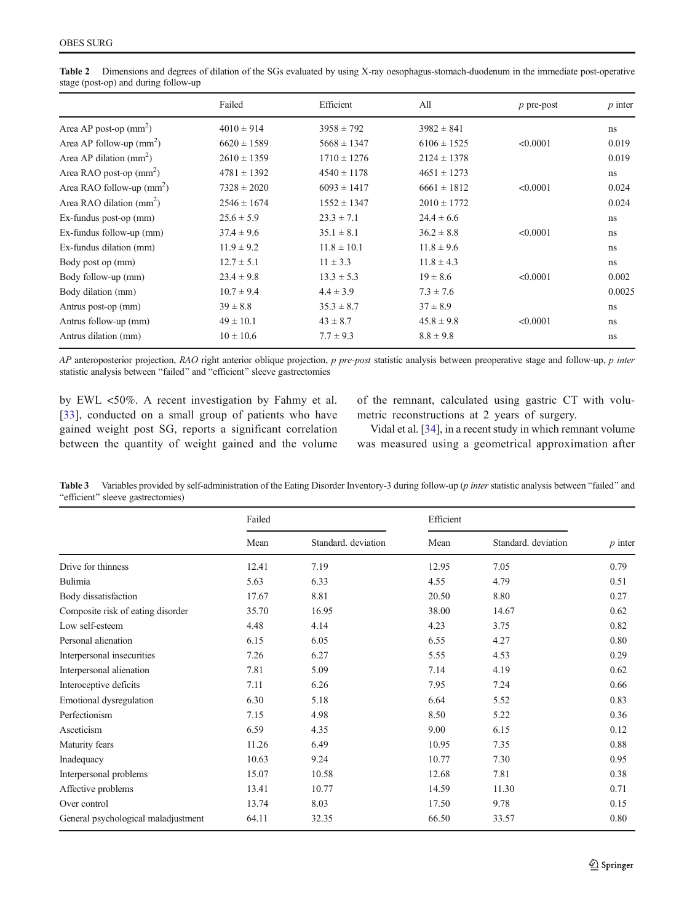|                                     | Failed          | Efficient       | All             | $p$ pre-post | $p$ inter |
|-------------------------------------|-----------------|-----------------|-----------------|--------------|-----------|
| Area AP post-op $(mm2)$             | $4010 \pm 914$  | $3958 \pm 792$  | $3982 \pm 841$  |              | ns        |
| Area AP follow-up $(mm2)$           | $6620 \pm 1589$ | $5668 \pm 1347$ | $6106 \pm 1525$ | < 0.0001     | 0.019     |
| Area AP dilation $\text{(mm)}^2$ )  | $2610 \pm 1359$ | $1710 \pm 1276$ | $2124 \pm 1378$ |              | 0.019     |
| Area RAO post-op $(mm2)$            | $4781 \pm 1392$ | $4540 \pm 1178$ | $4651 \pm 1273$ |              | ns        |
| Area RAO follow-up $(mm2)$          | $7328 \pm 2020$ | $6093 \pm 1417$ | $6661 \pm 1812$ | < 0.0001     | 0.024     |
| Area RAO dilation $\text{(mm)}^2$ ) | $2546 \pm 1674$ | $1552 \pm 1347$ | $2010 \pm 1772$ |              | 0.024     |
| Ex-fundus post-op (mm)              | $25.6 \pm 5.9$  | $23.3 \pm 7.1$  | $24.4 \pm 6.6$  |              | ns        |
| Ex-fundus follow-up (mm)            | $37.4 \pm 9.6$  | $35.1 \pm 8.1$  | $36.2 \pm 8.8$  | < 0.0001     | ns        |
| Ex-fundus dilation (mm)             | $11.9 \pm 9.2$  | $11.8 \pm 10.1$ | $11.8 \pm 9.6$  |              | ns        |
| Body post op (mm)                   | $12.7 \pm 5.1$  | $11 \pm 3.3$    | $11.8 \pm 4.3$  |              | ns        |
| Body follow-up (mm)                 | $23.4 \pm 9.8$  | $13.3 \pm 5.3$  | $19 \pm 8.6$    | < 0.0001     | 0.002     |
| Body dilation (mm)                  | $10.7 \pm 9.4$  | $4.4 \pm 3.9$   | $7.3 \pm 7.6$   |              | 0.0025    |
| Antrus post-op (mm)                 | $39 \pm 8.8$    | $35.3 \pm 8.7$  | $37 \pm 8.9$    |              | ns        |
| Antrus follow-up (mm)               | $49 \pm 10.1$   | $43 \pm 8.7$    | $45.8 \pm 9.8$  | < 0.0001     | ns        |
| Antrus dilation (mm)                | $10 \pm 10.6$   | $7.7 \pm 9.3$   | $8.8 \pm 9.8$   |              | ns        |

<span id="page-6-0"></span>Table 2 Dimensions and degrees of dilation of the SGs evaluated by using X-ray oesophagus-stomach-duodenum in the immediate post-operative stage (post-op) and during follow-up

AP anteroposterior projection, RAO right anterior oblique projection, p pre-post statistic analysis between preoperative stage and follow-up, p inter statistic analysis between "failed" and "efficient" sleeve gastrectomies

by EWL <50%. A recent investigation by Fahmy et al. [\[33\]](#page-9-0), conducted on a small group of patients who have gained weight post SG, reports a significant correlation between the quantity of weight gained and the volume of the remnant, calculated using gastric CT with volumetric reconstructions at 2 years of surgery.

Vidal et al. [\[34\]](#page-9-0), in a recent study in which remnant volume was measured using a geometrical approximation after

Table 3 Variables provided by self-administration of the Eating Disorder Inventory-3 during follow-up (p inter statistic analysis between "failed" and "efficient" sleeve gastrectomies)

|                                     | Failed |                     | Efficient |                     |           |
|-------------------------------------|--------|---------------------|-----------|---------------------|-----------|
|                                     | Mean   | Standard. deviation | Mean      | Standard. deviation | $p$ inter |
| Drive for thinness                  | 12.41  | 7.19                | 12.95     | 7.05                | 0.79      |
| Bulimia                             | 5.63   | 6.33                | 4.55      | 4.79                | 0.51      |
| Body dissatisfaction                | 17.67  | 8.81                | 20.50     | 8.80                | 0.27      |
| Composite risk of eating disorder   | 35.70  | 16.95               | 38.00     | 14.67               | 0.62      |
| Low self-esteem                     | 4.48   | 4.14                | 4.23      | 3.75                | 0.82      |
| Personal alienation                 | 6.15   | 6.05                | 6.55      | 4.27                | 0.80      |
| Interpersonal insecurities          | 7.26   | 6.27                | 5.55      | 4.53                | 0.29      |
| Interpersonal alienation            | 7.81   | 5.09                | 7.14      | 4.19                | 0.62      |
| Interoceptive deficits              | 7.11   | 6.26                | 7.95      | 7.24                | 0.66      |
| Emotional dysregulation             | 6.30   | 5.18                | 6.64      | 5.52                | 0.83      |
| Perfectionism                       | 7.15   | 4.98                | 8.50      | 5.22                | 0.36      |
| Asceticism                          | 6.59   | 4.35                | 9.00      | 6.15                | 0.12      |
| Maturity fears                      | 11.26  | 6.49                | 10.95     | 7.35                | 0.88      |
| Inadequacy                          | 10.63  | 9.24                | 10.77     | 7.30                | 0.95      |
| Interpersonal problems              | 15.07  | 10.58               | 12.68     | 7.81                | 0.38      |
| Affective problems                  | 13.41  | 10.77               | 14.59     | 11.30               | 0.71      |
| Over control                        | 13.74  | 8.03                | 17.50     | 9.78                | 0.15      |
| General psychological maladjustment | 64.11  | 32.35               | 66.50     | 33.57               | 0.80      |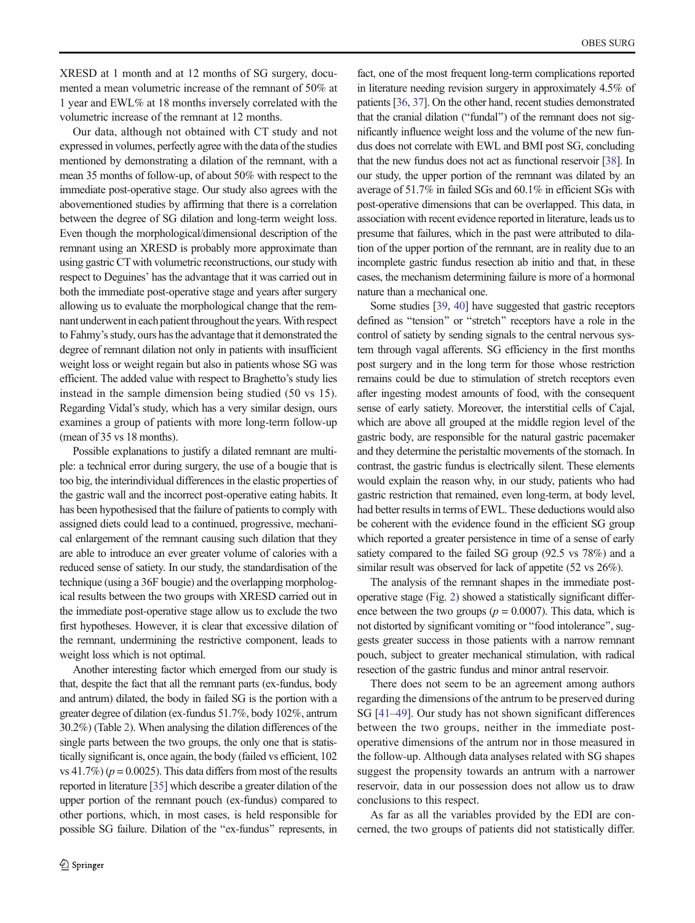XRESD at 1 month and at 12 months of SG surgery, documented a mean volumetric increase of the remnant of 50% at 1 year and EWL% at 18 months inversely correlated with the volumetric increase of the remnant at 12 months.

Our data, although not obtained with CT study and not expressed in volumes, perfectly agree with the data of the studies mentioned by demonstrating a dilation of the remnant, with a mean 35 months of follow-up, of about 50% with respect to the immediate post-operative stage. Our study also agrees with the abovementioned studies by affirming that there is a correlation between the degree of SG dilation and long-term weight loss. Even though the morphological/dimensional description of the remnant using an XRESD is probably more approximate than using gastric CTwith volumetric reconstructions, our study with respect to Deguines' has the advantage that it was carried out in both the immediate post-operative stage and years after surgery allowing us to evaluate the morphological change that the remnant underwent in each patient throughout the years. With respect to Fahmy's study, ours has the advantage that it demonstrated the degree of remnant dilation not only in patients with insufficient weight loss or weight regain but also in patients whose SG was efficient. The added value with respect to Braghetto's study lies instead in the sample dimension being studied (50 vs 15). Regarding Vidal's study, which has a very similar design, ours examines a group of patients with more long-term follow-up (mean of 35 vs 18 months).

Possible explanations to justify a dilated remnant are multiple: a technical error during surgery, the use of a bougie that is too big, the interindividual differences in the elastic properties of the gastric wall and the incorrect post-operative eating habits. It has been hypothesised that the failure of patients to comply with assigned diets could lead to a continued, progressive, mechanical enlargement of the remnant causing such dilation that they are able to introduce an ever greater volume of calories with a reduced sense of satiety. In our study, the standardisation of the technique (using a 36F bougie) and the overlapping morphological results between the two groups with XRESD carried out in the immediate post-operative stage allow us to exclude the two first hypotheses. However, it is clear that excessive dilation of the remnant, undermining the restrictive component, leads to weight loss which is not optimal.

Another interesting factor which emerged from our study is that, despite the fact that all the remnant parts (ex-fundus, body and antrum) dilated, the body in failed SG is the portion with a greater degree of dilation (ex-fundus 51.7%, body 102%, antrum 30.2%) (Table [2](#page-6-0)). When analysing the dilation differences of the single parts between the two groups, the only one that is statistically significant is, once again, the body (failed vs efficient, 102 vs 41.7%) ( $p = 0.0025$ ). This data differs from most of the results reported in literature [\[35\]](#page-9-0) which describe a greater dilation of the upper portion of the remnant pouch (ex-fundus) compared to other portions, which, in most cases, is held responsible for possible SG failure. Dilation of the "ex-fundus" represents, in

fact, one of the most frequent long-term complications reported in literature needing revision surgery in approximately 4.5% of patients [\[36](#page-9-0), [37](#page-9-0)]. On the other hand, recent studies demonstrated that the cranial dilation ("fundal") of the remnant does not significantly influence weight loss and the volume of the new fundus does not correlate with EWL and BMI post SG, concluding that the new fundus does not act as functional reservoir [\[38](#page-9-0)]. In our study, the upper portion of the remnant was dilated by an average of 51.7% in failed SGs and 60.1% in efficient SGs with post-operative dimensions that can be overlapped. This data, in association with recent evidence reported in literature, leads us to presume that failures, which in the past were attributed to dilation of the upper portion of the remnant, are in reality due to an incomplete gastric fundus resection ab initio and that, in these cases, the mechanism determining failure is more of a hormonal nature than a mechanical one.

Some studies [\[39,](#page-9-0) [40](#page-9-0)] have suggested that gastric receptors defined as "tension" or "stretch" receptors have a role in the control of satiety by sending signals to the central nervous system through vagal afferents. SG efficiency in the first months post surgery and in the long term for those whose restriction remains could be due to stimulation of stretch receptors even after ingesting modest amounts of food, with the consequent sense of early satiety. Moreover, the interstitial cells of Cajal, which are above all grouped at the middle region level of the gastric body, are responsible for the natural gastric pacemaker and they determine the peristaltic movements of the stomach. In contrast, the gastric fundus is electrically silent. These elements would explain the reason why, in our study, patients who had gastric restriction that remained, even long-term, at body level, had better results in terms of EWL. These deductions would also be coherent with the evidence found in the efficient SG group which reported a greater persistence in time of a sense of early satiety compared to the failed SG group (92.5 vs 78%) and a similar result was observed for lack of appetite (52 vs 26%).

The analysis of the remnant shapes in the immediate postoperative stage (Fig. [2\)](#page-3-0) showed a statistically significant difference between the two groups ( $p = 0.0007$ ). This data, which is not distorted by significant vomiting or "food intolerance", suggests greater success in those patients with a narrow remnant pouch, subject to greater mechanical stimulation, with radical resection of the gastric fundus and minor antral reservoir.

There does not seem to be an agreement among authors regarding the dimensions of the antrum to be preserved during SG [[41](#page-9-0)–[49\]](#page-9-0). Our study has not shown significant differences between the two groups, neither in the immediate postoperative dimensions of the antrum nor in those measured in the follow-up. Although data analyses related with SG shapes suggest the propensity towards an antrum with a narrower reservoir, data in our possession does not allow us to draw conclusions to this respect.

As far as all the variables provided by the EDI are concerned, the two groups of patients did not statistically differ.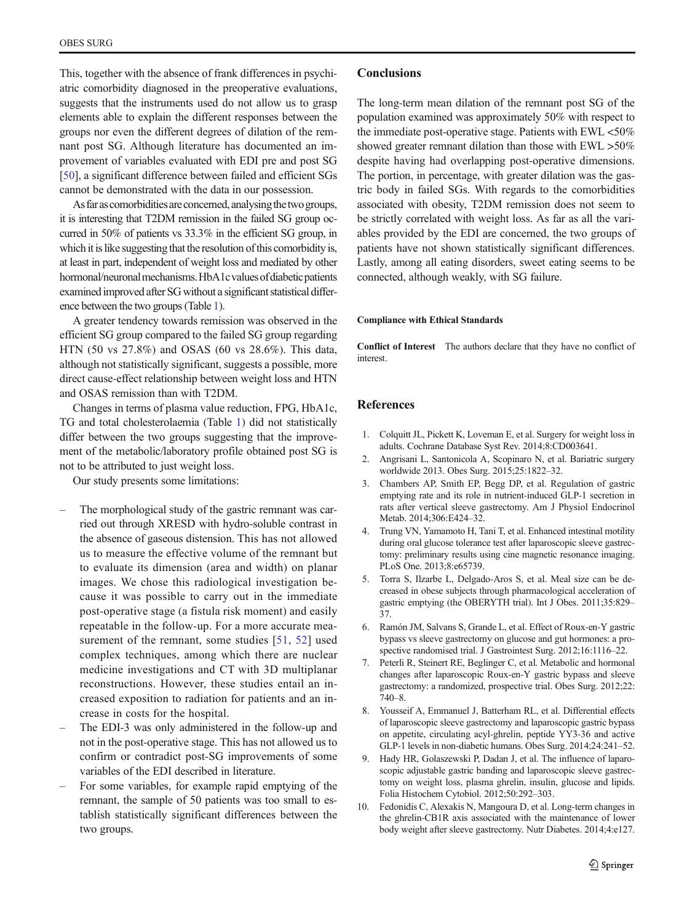<span id="page-8-0"></span>This, together with the absence of frank differences in psychiatric comorbidity diagnosed in the preoperative evaluations, suggests that the instruments used do not allow us to grasp elements able to explain the different responses between the groups nor even the different degrees of dilation of the remnant post SG. Although literature has documented an improvement of variables evaluated with EDI pre and post SG [\[50\]](#page-9-0), a significant difference between failed and efficient SGs cannot be demonstrated with the data in our possession.

As far as comorbidities are concerned, analysing the two groups, it is interesting that T2DM remission in the failed SG group occurred in 50% of patients vs 33.3% in the efficient SG group, in which it is like suggesting that the resolution of this comorbidity is, at least in part, independent of weight loss and mediated by other hormonal/neuronal mechanisms. HbA1c values of diabetic patients examined improved after SG without a significant statistical difference between the two groups (Table [1\)](#page-5-0).

A greater tendency towards remission was observed in the efficient SG group compared to the failed SG group regarding HTN (50 vs 27.8%) and OSAS (60 vs 28.6%). This data, although not statistically significant, suggests a possible, more direct cause-effect relationship between weight loss and HTN and OSAS remission than with T2DM.

Changes in terms of plasma value reduction, FPG, HbA1c, TG and total cholesterolaemia (Table [1](#page-5-0)) did not statistically differ between the two groups suggesting that the improvement of the metabolic/laboratory profile obtained post SG is not to be attributed to just weight loss.

Our study presents some limitations:

- The morphological study of the gastric remnant was carried out through XRESD with hydro-soluble contrast in the absence of gaseous distension. This has not allowed us to measure the effective volume of the remnant but to evaluate its dimension (area and width) on planar images. We chose this radiological investigation because it was possible to carry out in the immediate post-operative stage (a fistula risk moment) and easily repeatable in the follow-up. For a more accurate mea-surement of the remnant, some studies [[51](#page-9-0), [52\]](#page-9-0) used complex techniques, among which there are nuclear medicine investigations and CT with 3D multiplanar reconstructions. However, these studies entail an increased exposition to radiation for patients and an increase in costs for the hospital.
- The EDI-3 was only administered in the follow-up and not in the post-operative stage. This has not allowed us to confirm or contradict post-SG improvements of some variables of the EDI described in literature.
- For some variables, for example rapid emptying of the remnant, the sample of 50 patients was too small to establish statistically significant differences between the two groups.

## **Conclusions**

The long-term mean dilation of the remnant post SG of the population examined was approximately 50% with respect to the immediate post-operative stage. Patients with EWL <50% showed greater remnant dilation than those with EWL >50% despite having had overlapping post-operative dimensions. The portion, in percentage, with greater dilation was the gastric body in failed SGs. With regards to the comorbidities associated with obesity, T2DM remission does not seem to be strictly correlated with weight loss. As far as all the variables provided by the EDI are concerned, the two groups of patients have not shown statistically significant differences. Lastly, among all eating disorders, sweet eating seems to be connected, although weakly, with SG failure.

#### Compliance with Ethical Standards

Conflict of Interest The authors declare that they have no conflict of interest.

## **References**

- 1. Colquitt JL, Pickett K, Loveman E, et al. Surgery for weight loss in adults. Cochrane Database Syst Rev. 2014;8:CD003641.
- 2. Angrisani L, Santonicola A, Scopinaro N, et al. Bariatric surgery worldwide 2013. Obes Surg. 2015;25:1822–32.
- 3. Chambers AP, Smith EP, Begg DP, et al. Regulation of gastric emptying rate and its role in nutrient-induced GLP-1 secretion in rats after vertical sleeve gastrectomy. Am J Physiol Endocrinol Metab. 2014;306:E424–32.
- 4. Trung VN, Yamamoto H, Tani T, et al. Enhanced intestinal motility during oral glucose tolerance test after laparoscopic sleeve gastrectomy: preliminary results using cine magnetic resonance imaging. PLoS One. 2013;8:e65739.
- 5. Torra S, Ilzarbe L, Delgado-Aros S, et al. Meal size can be decreased in obese subjects through pharmacological acceleration of gastric emptying (the OBERYTH trial). Int J Obes. 2011;35:829– 37.
- 6. Ramón JM, Salvans S, Grande L, et al. Effect of Roux-en-Y gastric bypass vs sleeve gastrectomy on glucose and gut hormones: a prospective randomised trial. J Gastrointest Surg. 2012;16:1116–22.
- 7. Peterli R, Steinert RE, Beglinger C, et al. Metabolic and hormonal changes after laparoscopic Roux-en-Y gastric bypass and sleeve gastrectomy: a randomized, prospective trial. Obes Surg. 2012;22: 740–8.
- 8. Yousseif A, Emmanuel J, Batterham RL, et al. Differential effects of laparoscopic sleeve gastrectomy and laparoscopic gastric bypass on appetite, circulating acyl-ghrelin, peptide YY3-36 and active GLP-1 levels in non-diabetic humans. Obes Surg. 2014;24:241–52.
- 9. Hady HR, Golaszewski P, Dadan J, et al. The influence of laparoscopic adjustable gastric banding and laparoscopic sleeve gastrectomy on weight loss, plasma ghrelin, insulin, glucose and lipids. Folia Histochem Cytobiol. 2012;50:292–303.
- 10. Fedonidis C, Alexakis N, Mangoura D, et al. Long-term changes in the ghrelin-CB1R axis associated with the maintenance of lower body weight after sleeve gastrectomy. Nutr Diabetes. 2014;4:e127.